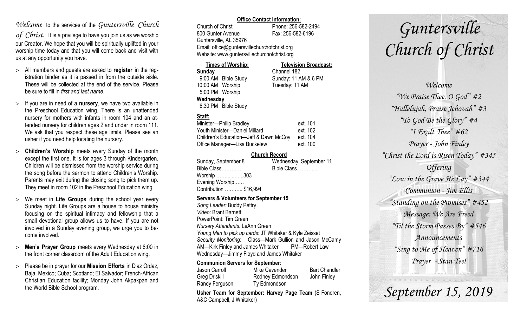## *Welcome* to the services of the *Guntersville Church*

*of Christ*. It is a privilege to have you join us as we worship our Creator. We hope that you will be spiritually uplifted in your worship time today and that you will come back and visit with us at any opportunity you have.

- All members and guests are asked to **register** in the registration binder as it is passed in from the outside aisle. These will be collected at the end of the service. Please be sure to fill in *first and last name*.
- $>$  If you are in need of a **nursery**, we have two available in the Preschool Education wing. There is an unattended nursery for mothers with infants in room 104 and an attended nursery for children ages 2 and under in room 111. We ask that you respect these age limits. Please see an usher if you need help locating the nursery.
- **Children's Worship** meets every Sunday of the month except the first one. It is for ages 3 through Kindergarten. Children will be dismissed from the worship service during the song before the sermon to attend Children's Worship. Parents may exit during the closing song to pick them up. They meet in room 102 in the Preschool Education wing.
- We meet in **Life Groups** during the school year every Sunday night. Life Groups are a house to house ministry focusing on the spiritual intimacy and fellowship that a small devotional group allows us to have. If you are not involved in a Sunday evening group, we urge you to become involved.
- **Men's Prayer Group** meets every Wednesday at 6:00 in the front corner classroom of the Adult Education wing.
- Please be in prayer for our **Mission Efforts** in Diaz Ordaz, Baja, Mexico; Cuba; Scotland; El Salvador; French-African Christian Education facility; Monday John Akpakpan and the World Bible School program.

### **Office Contact Information:**

Church of Christ Phone: 256-582-2494 800 Gunter Avenue Fax: 256-582-6196 Guntersville, AL 35976 Email: office@guntersvillechurchofchrist.org Website: www.guntersvillechurchofchrist.org

#### **Times of Worship: Television Broadcast: Sunday** Channel 182 9:00 AM Bible Study Sunday: 11 AM & 6 PM 10:00 AM Worship Tuesday: 11 AM 5:00 PM Worship **Wednesday** 6:30 PM Bible Study

### **Staff:**

| Minister-Philip Bradley                | ext. 101 |
|----------------------------------------|----------|
| Youth Minister-Daniel Millard          | ext. 102 |
| Children's Education-Jeff & Dawn McCoy | ext. 104 |
| Office Manager-Lisa Buckelew           | ext. 100 |

### **Church Record**

| Sunday, September 8    | Wednesday, September 11 |
|------------------------|-------------------------|
| Bible Class            | Bible Class             |
| Worship 303            |                         |
| Evening Worship        |                         |
| Contribution  \$16,994 |                         |
|                        |                         |

### **Servers & Volunteers for September 15**

*Song Leader:* Buddy Pettry *Video*: Brant Barnett PowerPoint: Tim Green *Nursery Attendants:* LeAnn Green *Young Men to pick up cards*: JT Whitaker & Kyle Zeisset *Security Monitoring*: Class—Mark Gullion and Jason McCamy AM—Kirk Finley and James Whitaker PM—Robert Law Wednesday—Jimmy Floyd and James Whitaker

### **Communion Servers for September:**

| Jason Carroll  | Mike Cavender    | <b>Bart Chandler</b> |
|----------------|------------------|----------------------|
| Greg Driskill  | Rodney Edmondson | John Finley          |
| Randy Ferguson | Ty Edmondson     |                      |

**Usher Team for September: Harvey Page Team** (S Fondren, A&C Campbell, J Whitaker)

# *Guntersville Church of Christ*

*Welcome "We Praise Thee, O God" #2 "Hallelujah, Praise Jehovah" #3 "To God Be the Glory" #4 "I Exalt Thee" #62 Prayer - John Finley "Christ the Lord is Risen Today" #345 Offering "Low in the Grave He Lay" #344 Communion - Jim Ellis "Standing on the Promises" #452 Message: We Are Freed "Til the Storm Passes By" #546 Announcements "Sing to Me of Heaven" #716 Prayer - Stan Teel*

*September 15, 2019*